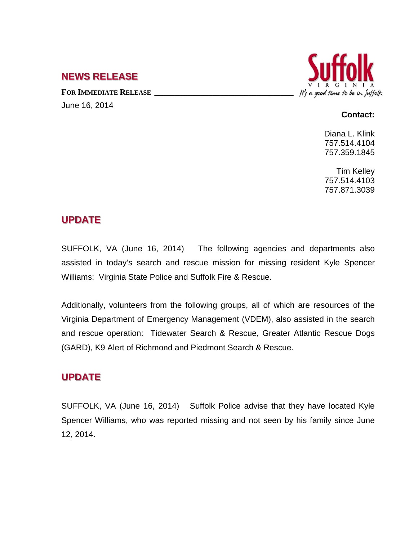### **NEWS RELEASE**

FOR **IMMEDIATE RELEASE** June 16, 2014



#### **Contact:**

Diana L. Klink 757.514.4104 757.359.1845

Tim Kelley 757.514.4103 757.871.3039

## **UPDATE**

SUFFOLK, VA (June 16, 2014) The following agencies and departments also assisted in today's search and rescue mission for missing resident Kyle Spencer Williams: Virginia State Police and Suffolk Fire & Rescue.

Additionally, volunteers from the following groups, all of which are resources of the Virginia Department of Emergency Management (VDEM), also assisted in the search and rescue operation: Tidewater Search & Rescue, Greater Atlantic Rescue Dogs (GARD), K9 Alert of Richmond and Piedmont Search & Rescue.

# **UPDATE**

SUFFOLK, VA (June 16, 2014) Suffolk Police advise that they have located Kyle Spencer Williams, who was reported missing and not seen by his family since June 12, 2014.